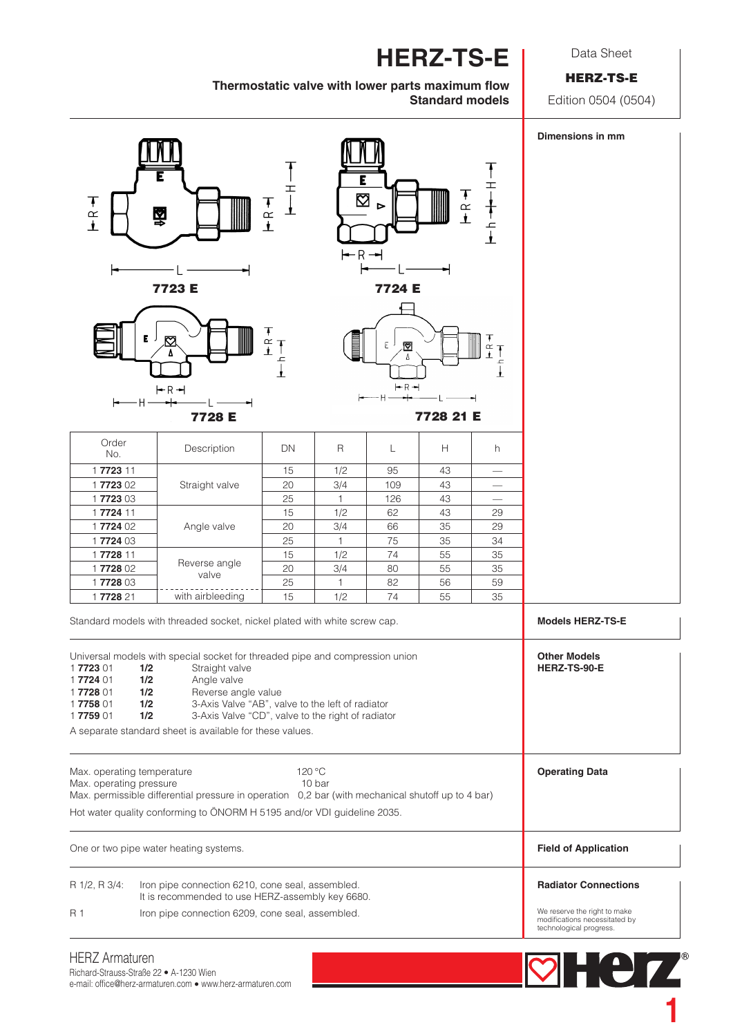**HERZ-TS-E**

Thermostatic valve with lower parts maximum flow **Standard models**

## Data Sheet

HERZ-TS-E

Edition 0504 (0504)



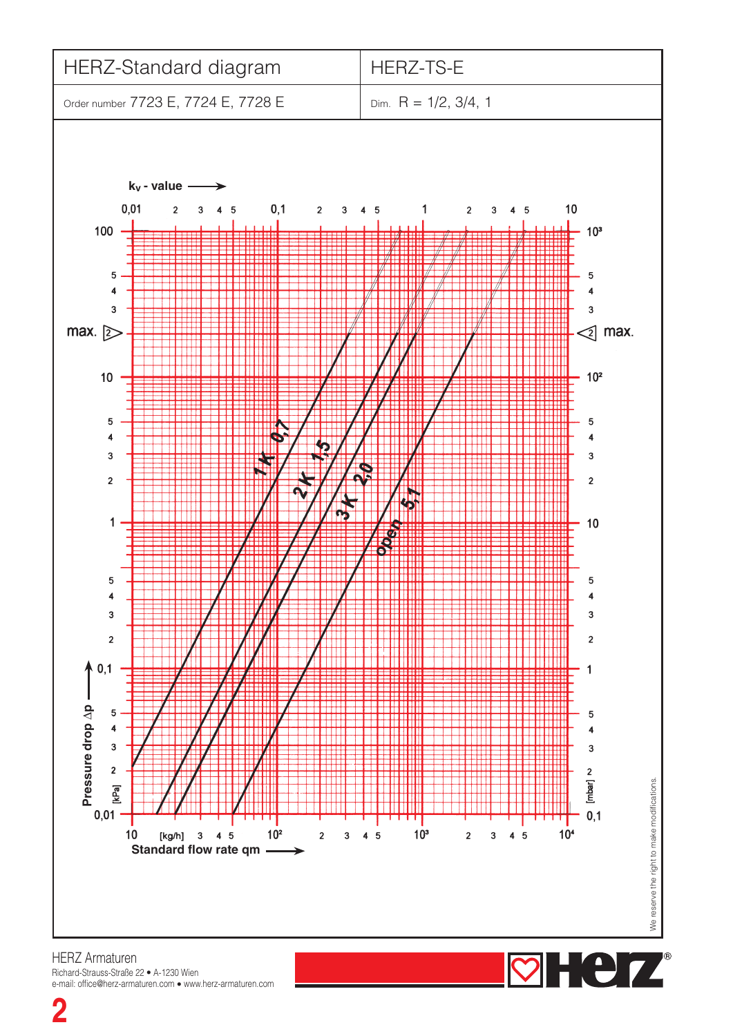

HERZ Armaturen Richard-Strauss-Straße 22 • A-1230 Wien e-mail: office@herz-armaturen.com • www.herz-armaturen.com

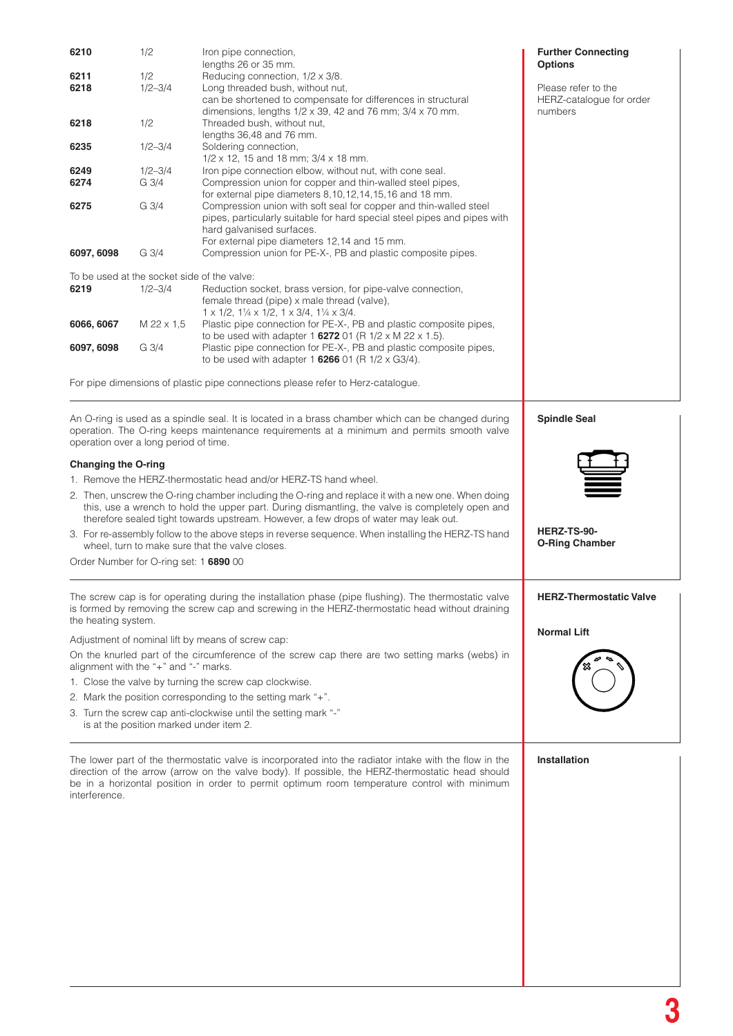| 6210                                                                                               | 1/2         | Iron pipe connection,                                                                                                                                                                           | <b>Further Connecting</b>      |  |
|----------------------------------------------------------------------------------------------------|-------------|-------------------------------------------------------------------------------------------------------------------------------------------------------------------------------------------------|--------------------------------|--|
|                                                                                                    | 1/2         | lengths 26 or 35 mm.                                                                                                                                                                            | <b>Options</b>                 |  |
| 6211<br>6218                                                                                       | $1/2 - 3/4$ | Reducing connection, 1/2 x 3/8.<br>Long threaded bush, without nut,                                                                                                                             | Please refer to the            |  |
|                                                                                                    |             | can be shortened to compensate for differences in structural                                                                                                                                    | HERZ-catalogue for order       |  |
|                                                                                                    |             | dimensions, lengths $1/2 \times 39$ , 42 and 76 mm; $3/4 \times 70$ mm.                                                                                                                         | numbers                        |  |
| 6218                                                                                               | 1/2         | Threaded bush, without nut,                                                                                                                                                                     |                                |  |
|                                                                                                    |             | lengths 36,48 and 76 mm.                                                                                                                                                                        |                                |  |
| 6235                                                                                               | $1/2 - 3/4$ | Soldering connection,<br>$1/2 \times 12$ , 15 and 18 mm; $3/4 \times 18$ mm.                                                                                                                    |                                |  |
| 6249                                                                                               | $1/2 - 3/4$ | Iron pipe connection elbow, without nut, with cone seal.                                                                                                                                        |                                |  |
| 6274                                                                                               | G 3/4       | Compression union for copper and thin-walled steel pipes,                                                                                                                                       |                                |  |
|                                                                                                    |             | for external pipe diameters 8, 10, 12, 14, 15, 16 and 18 mm.                                                                                                                                    |                                |  |
| 6275                                                                                               | G 3/4       | Compression union with soft seal for copper and thin-walled steel                                                                                                                               |                                |  |
|                                                                                                    |             | pipes, particularly suitable for hard special steel pipes and pipes with                                                                                                                        |                                |  |
|                                                                                                    |             | hard galvanised surfaces.<br>For external pipe diameters 12,14 and 15 mm.                                                                                                                       |                                |  |
| 6097, 6098                                                                                         | G 3/4       | Compression union for PE-X-, PB and plastic composite pipes.                                                                                                                                    |                                |  |
|                                                                                                    |             |                                                                                                                                                                                                 |                                |  |
| To be used at the socket side of the valve:                                                        |             |                                                                                                                                                                                                 |                                |  |
| 6219                                                                                               | $1/2 - 3/4$ | Reduction socket, brass version, for pipe-valve connection,                                                                                                                                     |                                |  |
|                                                                                                    |             | female thread (pipe) x male thread (valve),                                                                                                                                                     |                                |  |
| 6066, 6067                                                                                         | M 22 x 1,5  | $1 \times 1/2$ , $1\frac{1}{4} \times 1/2$ , $1 \times 3/4$ , $1\frac{1}{4} \times 3/4$ .<br>Plastic pipe connection for PE-X-, PB and plastic composite pipes,                                 |                                |  |
|                                                                                                    |             | to be used with adapter 1 6272 01 (R $1/2 \times M$ 22 x 1.5).                                                                                                                                  |                                |  |
| 6097, 6098                                                                                         | G 3/4       | Plastic pipe connection for PE-X-, PB and plastic composite pipes,                                                                                                                              |                                |  |
|                                                                                                    |             | to be used with adapter 1 6266 01 (R $1/2 \times$ G3/4).                                                                                                                                        |                                |  |
|                                                                                                    |             |                                                                                                                                                                                                 |                                |  |
|                                                                                                    |             | For pipe dimensions of plastic pipe connections please refer to Herz-catalogue.                                                                                                                 |                                |  |
|                                                                                                    |             |                                                                                                                                                                                                 |                                |  |
|                                                                                                    |             | <b>Spindle Seal</b>                                                                                                                                                                             |                                |  |
|                                                                                                    |             | An O-ring is used as a spindle seal. It is located in a brass chamber which can be changed during<br>operation. The O-ring keeps maintenance requirements at a minimum and permits smooth valve |                                |  |
| operation over a long period of time.                                                              |             |                                                                                                                                                                                                 |                                |  |
|                                                                                                    |             |                                                                                                                                                                                                 |                                |  |
| <b>Changing the O-ring</b>                                                                         |             |                                                                                                                                                                                                 |                                |  |
|                                                                                                    |             | 1. Remove the HERZ-thermostatic head and/or HERZ-TS hand wheel.                                                                                                                                 |                                |  |
|                                                                                                    |             | 2. Then, unscrew the O-ring chamber including the O-ring and replace it with a new one. When doing                                                                                              |                                |  |
|                                                                                                    |             | this, use a wrench to hold the upper part. During dismantling, the valve is completely open and                                                                                                 |                                |  |
| therefore sealed tight towards upstream. However, a few drops of water may leak out.               |             |                                                                                                                                                                                                 |                                |  |
| 3. For re-assembly follow to the above steps in reverse sequence. When installing the HERZ-TS hand |             |                                                                                                                                                                                                 | HERZ-TS-90-                    |  |
| wheel, turn to make sure that the valve closes.                                                    |             |                                                                                                                                                                                                 | <b>O-Ring Chamber</b>          |  |
| Order Number for O-ring set: 1 6890 00                                                             |             |                                                                                                                                                                                                 |                                |  |
|                                                                                                    |             |                                                                                                                                                                                                 |                                |  |
|                                                                                                    |             | The screw cap is for operating during the installation phase (pipe flushing). The thermostatic valve                                                                                            | <b>HERZ-Thermostatic Valve</b> |  |
|                                                                                                    |             | is formed by removing the screw cap and screwing in the HERZ-thermostatic head without draining                                                                                                 |                                |  |
| the heating system.                                                                                |             |                                                                                                                                                                                                 |                                |  |
|                                                                                                    |             |                                                                                                                                                                                                 | <b>Normal Lift</b>             |  |
|                                                                                                    |             | Adjustment of nominal lift by means of screw cap:<br>On the knurled part of the circumference of the screw cap there are two setting marks (webs) in                                            |                                |  |
| alignment with the "+" and "-" marks.                                                              |             |                                                                                                                                                                                                 |                                |  |
|                                                                                                    |             |                                                                                                                                                                                                 |                                |  |
| 1. Close the valve by turning the screw cap clockwise.                                             |             |                                                                                                                                                                                                 |                                |  |
|                                                                                                    |             | 2. Mark the position corresponding to the setting mark "+".                                                                                                                                     |                                |  |
|                                                                                                    |             | 3. Turn the screw cap anti-clockwise until the setting mark "-"                                                                                                                                 |                                |  |
| is at the position marked under item 2.                                                            |             |                                                                                                                                                                                                 |                                |  |
|                                                                                                    |             |                                                                                                                                                                                                 |                                |  |
|                                                                                                    |             | The lower part of the thermostatic valve is incorporated into the radiator intake with the flow in the                                                                                          | Installation                   |  |
|                                                                                                    |             | direction of the arrow (arrow on the valve body). If possible, the HERZ-thermostatic head should                                                                                                |                                |  |
| be in a horizontal position in order to permit optimum room temperature control with minimum       |             |                                                                                                                                                                                                 |                                |  |
| interference.                                                                                      |             |                                                                                                                                                                                                 |                                |  |
|                                                                                                    |             |                                                                                                                                                                                                 |                                |  |
|                                                                                                    |             |                                                                                                                                                                                                 |                                |  |
|                                                                                                    |             |                                                                                                                                                                                                 |                                |  |
|                                                                                                    |             |                                                                                                                                                                                                 |                                |  |
|                                                                                                    |             |                                                                                                                                                                                                 |                                |  |
|                                                                                                    |             |                                                                                                                                                                                                 |                                |  |
|                                                                                                    |             |                                                                                                                                                                                                 |                                |  |
|                                                                                                    |             |                                                                                                                                                                                                 |                                |  |
|                                                                                                    |             |                                                                                                                                                                                                 |                                |  |
|                                                                                                    |             |                                                                                                                                                                                                 |                                |  |
|                                                                                                    |             |                                                                                                                                                                                                 |                                |  |
|                                                                                                    |             |                                                                                                                                                                                                 |                                |  |